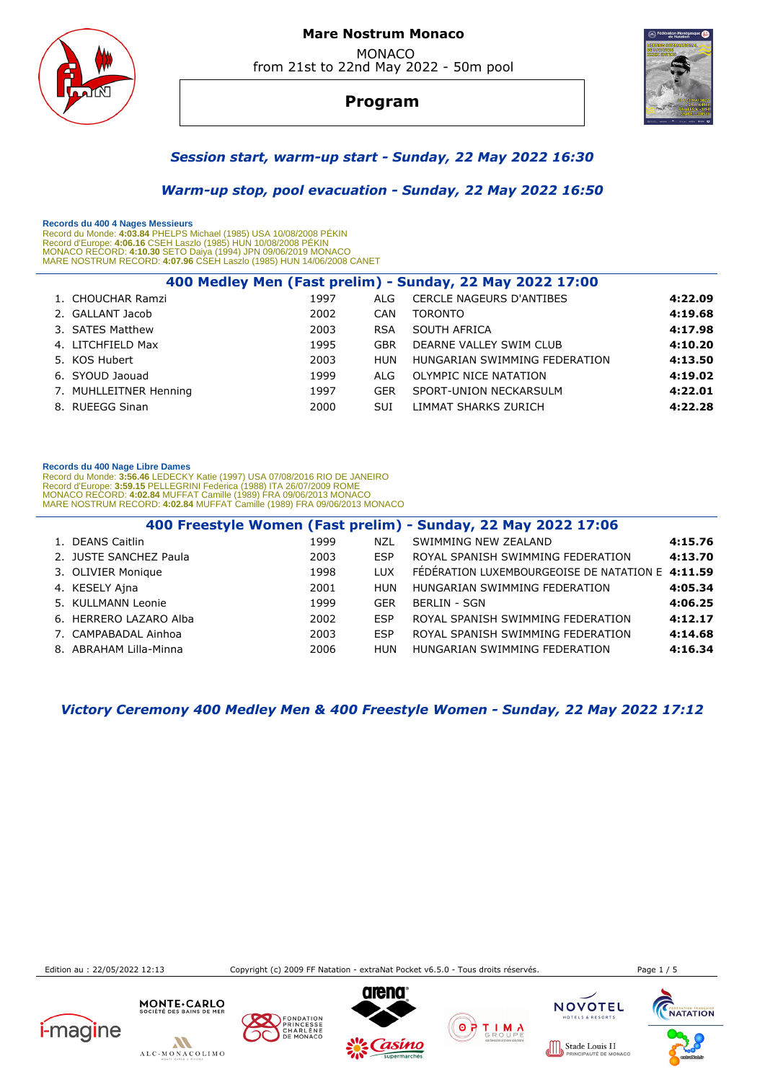

**Program**



### *Session start, warm-up start - Sunday, 22 May 2022 16:30*

 *Warm-up stop, pool evacuation - Sunday, 22 May 2022 16:50* 

 **Records du 400 4 Nages Messieurs** 

Record du Monde: 4**:03.84** PHELPS Michael (1985) USA 10/08/2008 PEKIN<br>Record d'Europe: 4**:06.16** CSEH Laszlo (1985) HUN 10/08/2008 PÉKIN<br>MONACO RECORD: 4**:10.30** SETO Daiya (1994) JPN 09/06/2019 MONACO<br>MARE NOSTRUM RECORD:

| 400 Medley Men (Fast prelim) - Sunday, 22 May 2022 17:00 |                                                                                                                                                |            |                                 |         |  |  |  |
|----------------------------------------------------------|------------------------------------------------------------------------------------------------------------------------------------------------|------------|---------------------------------|---------|--|--|--|
|                                                          | 1997                                                                                                                                           | ALG        | <b>CERCLE NAGEURS D'ANTIBES</b> | 4:22.09 |  |  |  |
|                                                          | 2002                                                                                                                                           | CAN        | <b>TORONTO</b>                  | 4:19.68 |  |  |  |
|                                                          | 2003                                                                                                                                           | <b>RSA</b> | SOUTH AFRICA                    | 4:17.98 |  |  |  |
|                                                          | 1995                                                                                                                                           | <b>GBR</b> | DEARNE VALLEY SWIM CLUB         | 4:10.20 |  |  |  |
|                                                          | 2003                                                                                                                                           | <b>HUN</b> | HUNGARIAN SWIMMING FEDERATION   | 4:13.50 |  |  |  |
|                                                          | 1999                                                                                                                                           | ALG        | OLYMPIC NICE NATATION           | 4:19.02 |  |  |  |
|                                                          | 1997                                                                                                                                           | <b>GER</b> | SPORT-UNION NECKARSULM          | 4:22.01 |  |  |  |
|                                                          | 2000                                                                                                                                           | <b>SUI</b> | LIMMAT SHARKS ZURICH            | 4:22.28 |  |  |  |
|                                                          | 1. CHOUCHAR Ramzi<br>2. GALLANT Jacob<br>3. SATES Matthew<br>4. LITCHFIELD Max<br>6. SYOUD Jaouad<br>7. MUHLLEITNER Henning<br>8. RUEEGG Sinan |            |                                 |         |  |  |  |

#### **Records du 400 Nage Libre Dames**

Record du Monde: 3**:56.46** LEDECKY Katie (1997) USA 07/08/2016 RIO DE JANEIRO<br>Record d'Europe: 3**:59.15** PELLEGRINI Federica (1988) ITA 26/07/2009 ROME<br>MONACO RECORD: **4:02.84** MUFFAT Camille (1989) FRA 09/06/2013 MONACO<br>M

|                        |      |            | 400 Freestyle Women (Fast prelim) - Sunday, 22 May 2022 17:06 |         |
|------------------------|------|------------|---------------------------------------------------------------|---------|
| 1. DEANS Caitlin       | 1999 | NZL        | SWIMMING NEW ZEALAND                                          | 4:15.76 |
| 2. JUSTE SANCHEZ Paula | 2003 | <b>ESP</b> | ROYAL SPANISH SWIMMING FEDERATION                             | 4:13.70 |
| 3. OLIVIER Monique     | 1998 | <b>LUX</b> | FEDERATION LUXEMBOURGEOISE DE NATATION E 4:11.59              |         |
| 4. KESELY Ajna         | 2001 | <b>HUN</b> | HUNGARIAN SWIMMING FEDERATION                                 | 4:05.34 |
| 5. KULLMANN Leonie     | 1999 | <b>GER</b> | <b>BERLIN - SGN</b>                                           | 4:06.25 |
| 6. HERRERO LAZARO Alba | 2002 | ESP        | ROYAL SPANISH SWIMMING FEDERATION                             | 4:12.17 |
| 7. CAMPABADAL Ainhoa   | 2003 | <b>ESP</b> | ROYAL SPANISH SWIMMING FEDERATION                             | 4:14.68 |
| 8. ABRAHAM Lilla-Minna | 2006 | <b>HUN</b> | HUNGARIAN SWIMMING FEDERATION                                 | 4:16.34 |

 *Victory Ceremony 400 Medley Men & 400 Freestyle Women - Sunday, 22 May 2022 17:12* 

Edition au : 22/05/2022 12:13 Copyright (c) 2009 FF Natation - extraNat Pocket v6.5.0 - Tous droits réservés. Page 1 / 5

 $1000$ 



 $\boldsymbol{M}$ ALC-MONACOLIMO







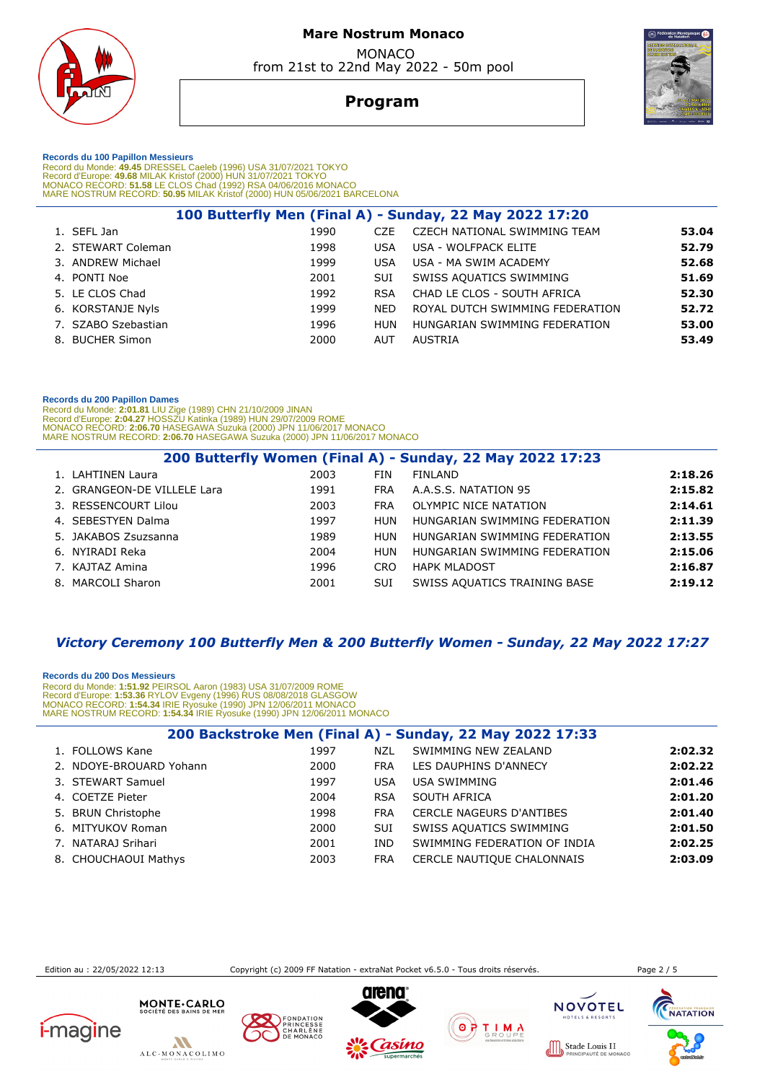



# **Program**

 **Records du 100 Papillon Messieurs** 

Record du Monde: 49.45 DRESSEL Caeleb (1996) USA 31/07/2021 TOKYO<br>Record d'Europe: 49.68 MILAK Kristof (2000) HUN 31/07/2021 TOKYO<br>MONACO RECORD: 51.58 LE CLOS Chad (1992) RSA 04/06/2016 MONACO<br>MARE NOSTRUM RECORD: 50.95 M

|                     |      |            | 100 Butterfly Men (Final A) - Sunday, 22 May 2022 17:20 |       |
|---------------------|------|------------|---------------------------------------------------------|-------|
| 1. SEFL Jan         | 1990 | CZE.       | CZECH NATIONAL SWIMMING TEAM                            | 53.04 |
| 2. STEWART Coleman  | 1998 | <b>USA</b> | USA - WOLFPACK ELITE                                    | 52.79 |
| 3. ANDREW Michael   | 1999 | <b>USA</b> | USA - MA SWIM ACADEMY                                   | 52.68 |
| 4. PONTI Noe        | 2001 | <b>SUI</b> | SWISS AQUATICS SWIMMING                                 | 51.69 |
| 5. LE CLOS Chad     | 1992 | <b>RSA</b> | CHAD LE CLOS - SOUTH AFRICA                             | 52.30 |
| 6. KORSTANJE Nyls   | 1999 | <b>NED</b> | ROYAL DUTCH SWIMMING FEDERATION                         | 52.72 |
| 7. SZABO Szebastian | 1996 | HUN        | HUNGARIAN SWIMMING FEDERATION                           | 53.00 |
| 8. BUCHER Simon     | 2000 | AUT        | AUSTRIA                                                 | 53.49 |
|                     |      |            |                                                         |       |

#### **Records du 200 Papillon Dames**

Record du Monde: **2:01.81** LIU Zige (1989) CHN 21/10/2009 JINAN<br>Record d'Europe: 2**:04.27 HOSSZU Katinka (1989) HUN 29/07/2009 ROME<br>MONACO RECORD: <b>2:06.70 H**ASEGAWA Suzuka (2000) JPN 11/06/2017 MONACO<br>MARE NOSTRUM RECORD:

| 2003                                                                                                                                                                              | FIN        | <b>FINI AND</b>               | 2:18.26                                                                                                           |
|-----------------------------------------------------------------------------------------------------------------------------------------------------------------------------------|------------|-------------------------------|-------------------------------------------------------------------------------------------------------------------|
| 1991                                                                                                                                                                              | <b>FRA</b> | A.A.S.S. NATATION 95          | 2:15.82                                                                                                           |
| 2003                                                                                                                                                                              | <b>FRA</b> | OLYMPIC NICE NATATION         | 2:14.61                                                                                                           |
| 1997                                                                                                                                                                              |            | HUNGARIAN SWIMMING FEDERATION | 2:11.39                                                                                                           |
| 1989                                                                                                                                                                              |            | HUNGARIAN SWIMMING FEDERATION | 2:13.55                                                                                                           |
| 2004                                                                                                                                                                              |            | HUNGARIAN SWIMMING FEDERATION | 2:15.06                                                                                                           |
| 1996                                                                                                                                                                              |            | <b>HAPK MLADOST</b>           | 2:16.87                                                                                                           |
| 2001                                                                                                                                                                              | SUI        | SWISS AQUATICS TRAINING BASE  | 2:19.12                                                                                                           |
| 1. LAHTINEN Laura<br>2. GRANGEON-DE VILLELE Lara<br>3. RESSENCOURT Lilou<br>4. SEBESTYEN Dalma<br>5. JAKABOS Zsuzsanna<br>6. NYIRADI Reka<br>7. KAJTAZ Amina<br>8. MARCOLI Sharon |            |                               | 200 Butterfly Women (Final A) - Sunday, 22 May 2022 17:23<br><b>HUN</b><br><b>HUN</b><br><b>HUN</b><br><b>CRO</b> |

# *Victory Ceremony 100 Butterfly Men & 200 Butterfly Women - Sunday, 22 May 2022 17:27*

 **Records du 200 Dos Messieurs**  Record du Monde: **1:51.92** PEIRSOL Aaron (1983) USA 31/07/2009 ROME Record d'Europe: **1:53.36** RYLOV Evgeny (1996) RUS 08/08/2018 GLASGOW MONACO RECORD: **1:54.34** IRIE Ryosuke (1990) JPN 12/06/2011 MONACO MARE NOSTRUM RECORD: **1:54.34** IRIE Ryosuke (1990) JPN 12/06/2011 MONACO

|                         |      |            | 200 Backstroke Men (Final A) - Sunday, 22 May 2022 17:33 |         |
|-------------------------|------|------------|----------------------------------------------------------|---------|
| 1. FOLLOWS Kane         | 1997 | NZL        | SWIMMING NEW ZEALAND                                     | 2:02.32 |
| 2. NDOYE-BROUARD Yohann | 2000 | <b>FRA</b> | LES DAUPHINS D'ANNECY                                    | 2:02.22 |
| 3. STEWART Samuel       | 1997 | <b>USA</b> | <b>USA SWIMMING</b>                                      | 2:01.46 |
| 4. COETZE Pieter        | 2004 | <b>RSA</b> | SOUTH AFRICA                                             | 2:01.20 |
| 5. BRUN Christophe      | 1998 | <b>FRA</b> | <b>CERCLE NAGEURS D'ANTIBES</b>                          | 2:01.40 |
| 6. MITYUKOV Roman       | 2000 | SUI        | SWISS AQUATICS SWIMMING                                  | 2:01.50 |
| 7. NATARAJ Srihari      | 2001 | IND.       | SWIMMING FEDERATION OF INDIA                             | 2:02.25 |
| 8. CHOUCHAOUI Mathys    | 2003 | <b>FRA</b> | CERCLE NAUTIQUE CHALONNAIS                               | 2:03.09 |

Edition au : 22/05/2022 12:13 Copyright (c) 2009 FF Natation - extraNat Pocket v6.5.0 - Tous droits réservés. Page 2 / 5

**NACC** 











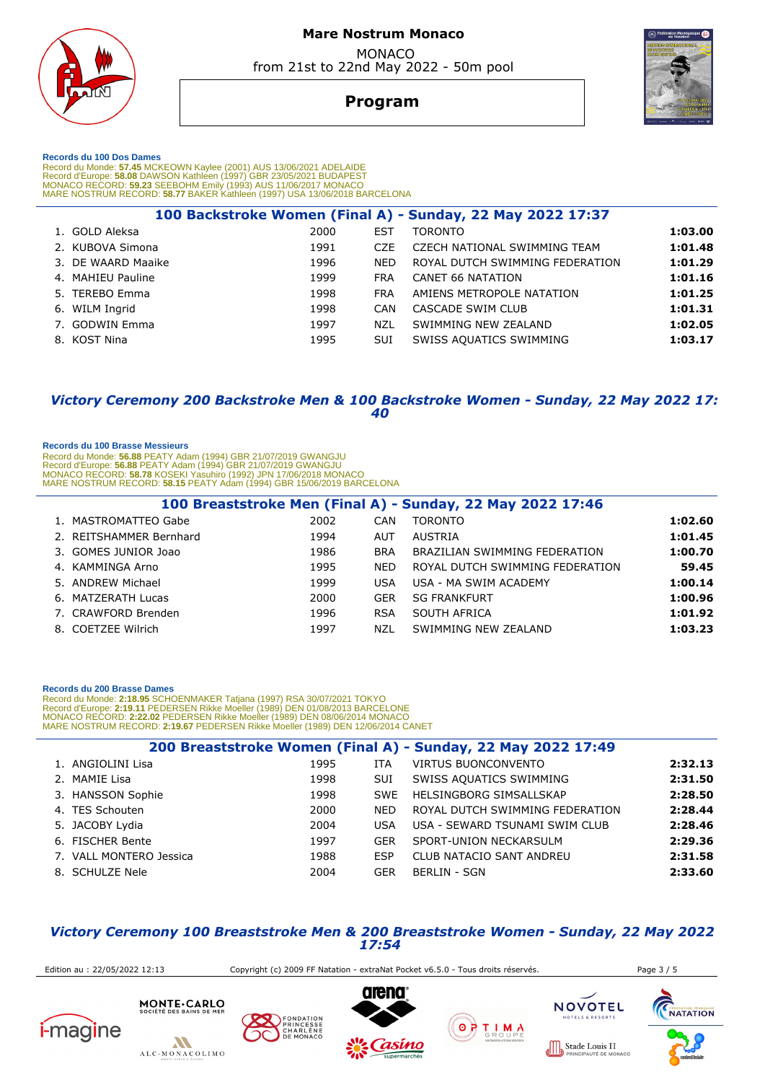

**Program**



 **Records du 100 Dos Dames** 

Record du Monde: 57.45 MCKEOWN Kaylee (2001) AUS 13/06/2021 ADELAIDE<br>Record d'Europe: 58.08 DAWSON Kathleen (1997) GBR 23/05/2021 BUDAPEST<br>MONACO RECORD: 59.23 SEEBOHM Emily (1993) AUS 11/06/2017 MONACO<br>MARE NOSTRUM RECORD

|                    |      |            | 100 Backstroke Women (Final A) - Sunday, 22 May 2022 17:37 |         |
|--------------------|------|------------|------------------------------------------------------------|---------|
| 1. GOLD Aleksa     | 2000 | EST        | <b>TORONTO</b>                                             | 1:03.00 |
| 2. KUBOVA Simona   | 1991 | <b>CZE</b> | CZECH NATIONAL SWIMMING TEAM                               | 1:01.48 |
| 3. DE WAARD Maaike | 1996 | <b>NED</b> | ROYAL DUTCH SWIMMING FEDERATION                            | 1:01.29 |
| 4. MAHIEU Pauline  | 1999 | <b>FRA</b> | CANET 66 NATATION                                          | 1:01.16 |
| 5. TEREBO Emma     | 1998 | <b>FRA</b> | AMIENS METROPOLE NATATION                                  | 1:01.25 |
| 6. WILM Ingrid     | 1998 | CAN        | CASCADE SWIM CLUB                                          | 1:01.31 |
| 7. GODWIN Emma     | 1997 | NZL        | SWIMMING NEW ZEALAND                                       | 1:02.05 |
| 8. KOST Nina       | 1995 | <b>SUI</b> | SWISS AQUATICS SWIMMING                                    | 1:03.17 |
|                    |      |            |                                                            |         |

### *Victory Ceremony 200 Backstroke Men & 100 Backstroke Women - Sunday, 22 May 2022 17: 40*

#### **Records du 100 Brasse Messieurs**

Record du Monde: **56.88** PEATY Adam (1994) GBR 21/07/2019 GWANGJU<br>Record d'Europe: **56.88 PEATY Adam (1**994) GBR 21/07/2019 GWANGJU<br>MONACO RECORD: **58.78** KOSEKI Yasuhiro (1992) JPN 17/06/2018 MONACO<br>MARE NOSTRUM RECORD:

|                         |      |            | 100 Breaststroke Men (Final A) - Sunday, 22 May 2022 17:46 |         |
|-------------------------|------|------------|------------------------------------------------------------|---------|
| 1. MASTROMATTEO Gabe    | 2002 | CAN        | <b>TORONTO</b>                                             | 1:02.60 |
| 2. REITSHAMMER Bernhard | 1994 | <b>AUT</b> | AUSTRIA                                                    | 1:01.45 |
| 3. GOMES JUNIOR Joao    | 1986 | <b>BRA</b> | BRAZILIAN SWIMMING FEDERATION                              | 1:00.70 |
| 4. KAMMINGA Arno        | 1995 | <b>NFD</b> | ROYAL DUTCH SWIMMING FEDERATION                            | 59.45   |
| 5. ANDREW Michael       | 1999 | <b>USA</b> | USA - MA SWIM ACADEMY                                      | 1:00.14 |
| 6. MATZERATH Lucas      | 2000 | <b>GER</b> | <b>SG FRANKFURT</b>                                        | 1:00.96 |
| 7. CRAWFORD Brenden     | 1996 | <b>RSA</b> | SOUTH AFRICA                                               | 1:01.92 |
| 8. COETZEE Wilrich      | 1997 | NZL        | SWIMMING NEW ZEALAND                                       | 1:03.23 |

#### **Records du 200 Brasse Dames**

Record du Monde: 2**:18.95** SCHOENMAKER Tatjana (1997) RSA 30/07/2021 TOKYO<br>Record d'Europe: 2**:19.11** PEDERSEN Rikke Moeller (1989) DEN 01/08/2013 BARCELONE<br>MONACO RECORD: 2:22.02 PEDERSEN Rikke Moeller (1989) DEN 08/06/20

|                         |      |            | 200 Breaststroke Women (Final A) - Sunday, 22 May 2022 17:49 |         |
|-------------------------|------|------------|--------------------------------------------------------------|---------|
| 1. ANGIOLINI Lisa       | 1995 | ITA        | <b>VIRTUS BUONCONVENTO</b>                                   | 2:32.13 |
| 2. MAMIE Lisa           | 1998 | <b>SUI</b> | SWISS AQUATICS SWIMMING                                      | 2:31.50 |
| 3. HANSSON Sophie       | 1998 | <b>SWE</b> | HELSINGBORG SIMSALLSKAP                                      | 2:28.50 |
| 4. TES Schouten         | 2000 | <b>NED</b> | ROYAL DUTCH SWIMMING FEDERATION                              | 2:28.44 |
| 5. JACOBY Lydia         | 2004 | USA        | USA - SEWARD TSUNAMI SWIM CLUB                               | 2:28.46 |
| 6. FISCHER Bente        | 1997 | <b>GER</b> | SPORT-UNION NECKARSULM                                       | 2:29.36 |
| 7. VALL MONTERO Jessica | 1988 | <b>ESP</b> | <b>CLUB NATACIO SANT ANDREU</b>                              | 2:31.58 |
| 8. SCHULZE Nele         | 2004 | <b>GER</b> | <b>BERLIN - SGN</b>                                          | 2:33.60 |

### *Victory Ceremony 100 Breaststroke Men & 200 Breaststroke Women - Sunday, 22 May 2022 17:54*

 Edition au : 22/05/2022 12:13 Copyright (c) 2009 FF Natation - extraNat Pocket v6.5.0 - Tous droits réservés. Page 3 / 5 MONTE.CARLO **NOVOTEL CHANGE TANGALE PONDATION** *i-magine*  $\circ$   $\forall$ T I M A CHARLÈNE  $\boldsymbol{M}$ Stade Louis II ALC-MONACOLIMO **NACC**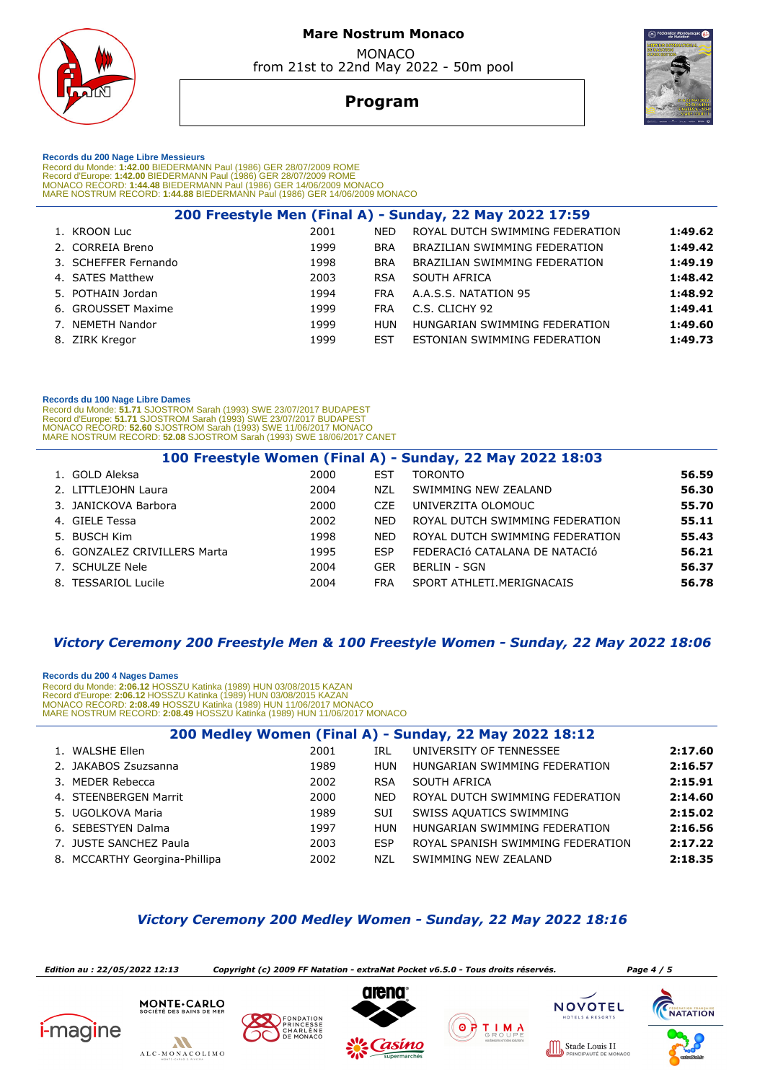

# **Program**



 **Records du 200 Nage Libre Messieurs** 

Record du Monde: 1**:42.00** BIEDERMANN Paul (1986) GER 28/07/2009 ROME<br>Record d'Europe: 1**:42.00** BIEDERMANN Paul (1986) GER 28/07/2009 ROME<br>MONACO RECORD: 1**:44.48** BIEDERMANN Paul (1986) GER 14/06/2009 MONACO MARE NOSTRUM RECORD: **1:44.88** BIEDERMANN Paul (1986) GER 14/06/2009 MONACO

| 200 Freestyle Men (Final A) - Sunday, 22 May 2022 17:59 |      |            |                                 |         |  |  |  |
|---------------------------------------------------------|------|------------|---------------------------------|---------|--|--|--|
| 1. KROON Luc                                            | 2001 | <b>NED</b> | ROYAL DUTCH SWIMMING FEDERATION | 1:49.62 |  |  |  |
| 2. CORREIA Breno                                        | 1999 | <b>BRA</b> | BRAZILIAN SWIMMING FEDERATION   | 1:49.42 |  |  |  |
| 3. SCHEFFER Fernando                                    | 1998 | <b>BRA</b> | BRAZILIAN SWIMMING FEDERATION   | 1:49.19 |  |  |  |
| 4. SATES Matthew                                        | 2003 | <b>RSA</b> | SOUTH AFRICA                    | 1:48.42 |  |  |  |
| 5. POTHAIN Jordan                                       | 1994 | <b>FRA</b> | A.A.S.S. NATATION 95            | 1:48.92 |  |  |  |
| 6. GROUSSET Maxime                                      | 1999 | <b>FRA</b> | C.S. CLICHY 92                  | 1:49.41 |  |  |  |
| 7. NEMETH Nandor                                        | 1999 | <b>HUN</b> | HUNGARIAN SWIMMING FEDERATION   | 1:49.60 |  |  |  |
| 8. ZIRK Kregor                                          | 1999 | <b>EST</b> | ESTONIAN SWIMMING FEDERATION    | 1:49.73 |  |  |  |
|                                                         |      |            |                                 |         |  |  |  |

#### **Records du 100 Nage Libre Dames**

Record du Monde: 51.71 SJOSTROM Sarah (1993) SWE 23/07/2017 BUDAPEST<br>Record d'Europe: 51.71 SJOSTROM Sarah (1993) SWE 23/07/2017 BUDAPEST<br>MONACO RECORD: 52.60 SJOSTROM Sarah (1993) SWE 11/06/2017 MONACO<br>MARE NOSTRUM RECORD

|                              |      |                  | 100 Freestyle Women (Final A) - Sunday, 22 May 2022 18:03 |       |
|------------------------------|------|------------------|-----------------------------------------------------------|-------|
| 1. GOLD Aleksa               | 2000 | <b>EST</b>       | <b>TORONTO</b>                                            | 56.59 |
| 2. LITTLEJOHN Laura          | 2004 | NZL              | SWIMMING NEW ZEALAND                                      | 56.30 |
| 3. JANICKOVA Barbora         | 2000 | C <sub>7</sub> F | UNIVERZITA OLOMOUC                                        | 55.70 |
| 4. GIELE Tessa               | 2002 | <b>NED</b>       | ROYAL DUTCH SWIMMING FEDERATION                           | 55.11 |
| 5. BUSCH Kim                 | 1998 | <b>NED</b>       | ROYAL DUTCH SWIMMING FEDERATION                           | 55.43 |
| 6. GONZALEZ CRIVILLERS Marta | 1995 | <b>ESP</b>       | FEDERACIÓ CATALANA DE NATACIÓ                             | 56.21 |
| 7. SCHULZE Nele              | 2004 | GER              | BERLIN - SGN                                              | 56.37 |
| 8. TESSARIOL Lucile          | 2004 | <b>FRA</b>       | SPORT ATHLETI MERIGNACAIS                                 | 56.78 |

# *Victory Ceremony 200 Freestyle Men & 100 Freestyle Women - Sunday, 22 May 2022 18:06*

 **Records du 200 4 Nages Dames**  Record du Monde: 2:06.12 HOSSZU Katinka (1989) HUN 03/08/2015 KAZAN<br>Record d'Europe: 2:06.12 HOSSZU Katinka (1989) HUN 03/08/2015 KAZAN<br>MONACO RECORD: 2:08.49 HOSSZU Katinka (1989) HUN 11/06/2017 MONACO MARE NOSTRUM RECORD: **2:08.49** HOSSZU Katinka (1989) HUN 11/06/2017 MONACO

| 200 Medley Women (Final A) - Sunday, 22 May 2022 18:12 |      |            |                                   |         |  |  |
|--------------------------------------------------------|------|------------|-----------------------------------|---------|--|--|
| 1. WALSHE Ellen                                        | 2001 | IRL        | UNIVERSITY OF TENNESSEE           | 2:17.60 |  |  |
| 2. JAKABOS Zsuzsanna                                   | 1989 | HUN        | HUNGARIAN SWIMMING FEDERATION     | 2:16.57 |  |  |
| 3. MEDER Rebecca                                       | 2002 | <b>RSA</b> | SOUTH AFRICA                      | 2:15.91 |  |  |
| 4. STEENBERGEN Marrit                                  | 2000 | <b>NED</b> | ROYAL DUTCH SWIMMING FEDERATION   | 2:14.60 |  |  |
| 5. UGOLKOVA Maria                                      | 1989 | <b>SUI</b> | SWISS AQUATICS SWIMMING           | 2:15.02 |  |  |
| 6. SEBESTYEN Dalma                                     | 1997 | HUN        | HUNGARIAN SWIMMING FEDERATION     | 2:16.56 |  |  |
| 7. JUSTE SANCHEZ Paula                                 | 2003 | <b>ESP</b> | ROYAL SPANISH SWIMMING FEDERATION | 2:17.22 |  |  |
| 8. MCCARTHY Georgina-Phillipa                          | 2002 | NZL        | SWIMMING NEW ZEALAND              | 2:18.35 |  |  |

# *Victory Ceremony 200 Medley Women - Sunday, 22 May 2022 18:16*

 *Edition au : 22/05/2022 12:13 Copyright (c) 2009 FF Natation - extraNat Pocket v6.5.0 - Tous droits réservés. Page 4 / 5* **MONTE·CARLO**<br>SOCIÉTÉ DES BAINS DE MER **NOVOTEL CHARGE NATATION FONDATION**  $\circ$   $\forall$ *i-magine* T I M A CHARLÈNE  $\boldsymbol{M}$ Stade Louis II ALC-MONACOLIMO  $1000$